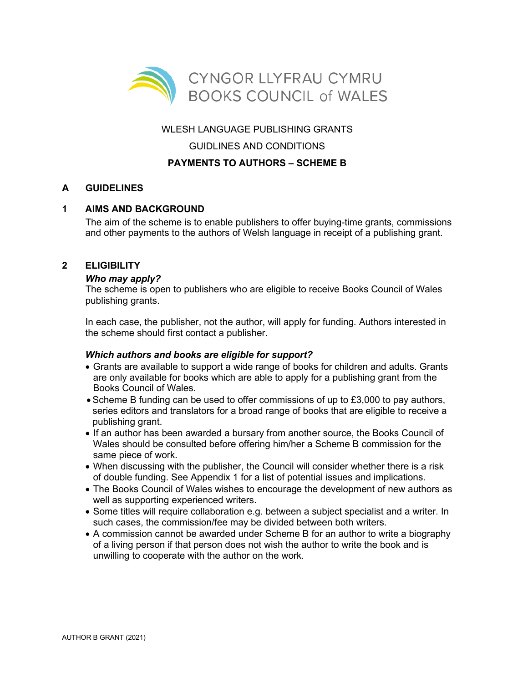

## WLESH LANGUAGE PUBLISHING GRANTS

## GUIDLINES AND CONDITIONS

# **PAYMENTS TO AUTHORS – SCHEME B**

# **A GUIDELINES**

## **1 AIMS AND BACKGROUND**

The aim of the scheme is to enable publishers to offer buying-time grants, commissions and other payments to the authors of Welsh language in receipt of a publishing grant.

## **2 ELIGIBILITY**

## *Who may apply?*

The scheme is open to publishers who are eligible to receive Books Council of Wales publishing grants.

In each case, the publisher, not the author, will apply for funding. Authors interested in the scheme should first contact a publisher.

## *Which authors and books are eligible for support?*

- Grants are available to support a wide range of books for children and adults. Grants are only available for books which are able to apply for a publishing grant from the Books Council of Wales.
- Scheme B funding can be used to offer commissions of up to £3,000 to pay authors, series editors and translators for a broad range of books that are eligible to receive a publishing grant.
- If an author has been awarded a bursary from another source, the Books Council of Wales should be consulted before offering him/her a Scheme B commission for the same piece of work.
- When discussing with the publisher, the Council will consider whether there is a risk of double funding. See Appendix 1 for a list of potential issues and implications.
- The Books Council of Wales wishes to encourage the development of new authors as well as supporting experienced writers.
- Some titles will require collaboration e.g. between a subject specialist and a writer. In such cases, the commission/fee may be divided between both writers.
- A commission cannot be awarded under Scheme B for an author to write a biography of a living person if that person does not wish the author to write the book and is unwilling to cooperate with the author on the work.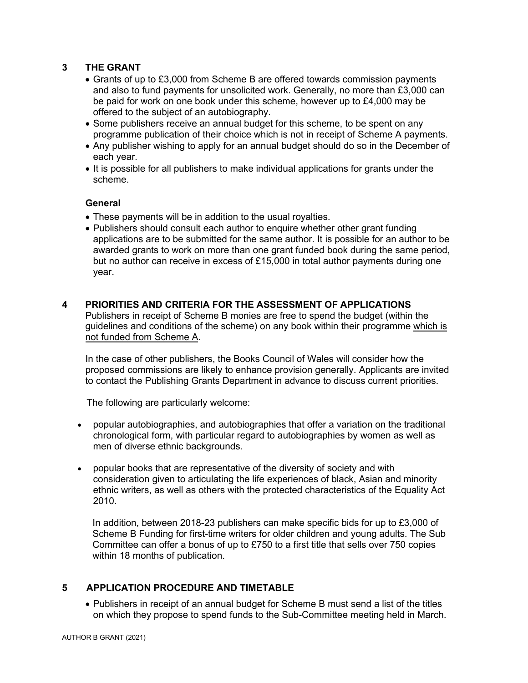## **3 THE GRANT**

- Grants of up to £3,000 from Scheme B are offered towards commission payments and also to fund payments for unsolicited work. Generally, no more than £3,000 can be paid for work on one book under this scheme, however up to £4,000 may be offered to the subject of an autobiography.
- Some publishers receive an annual budget for this scheme, to be spent on any programme publication of their choice which is not in receipt of Scheme A payments.
- Any publisher wishing to apply for an annual budget should do so in the December of each year.
- It is possible for all publishers to make individual applications for grants under the scheme.

#### **General**

- These payments will be in addition to the usual royalties.
- Publishers should consult each author to enquire whether other grant funding applications are to be submitted for the same author. It is possible for an author to be awarded grants to work on more than one grant funded book during the same period, but no author can receive in excess of £15,000 in total author payments during one year.

#### **4 PRIORITIES AND CRITERIA FOR THE ASSESSMENT OF APPLICATIONS**

Publishers in receipt of Scheme B monies are free to spend the budget (within the guidelines and conditions of the scheme) on any book within their programme which is not funded from Scheme A.

In the case of other publishers, the Books Council of Wales will consider how the proposed commissions are likely to enhance provision generally. Applicants are invited to contact the Publishing Grants Department in advance to discuss current priorities.

The following are particularly welcome:

- popular autobiographies, and autobiographies that offer a variation on the traditional chronological form, with particular regard to autobiographies by women as well as men of diverse ethnic backgrounds.
- popular books that are representative of the diversity of society and with consideration given to articulating the life experiences of black, Asian and minority ethnic writers, as well as others with the protected characteristics of the Equality Act 2010.

In addition, between 2018-23 publishers can make specific bids for up to £3,000 of Scheme B Funding for first-time writers for older children and young adults. The Sub Committee can offer a bonus of up to £750 to a first title that sells over 750 copies within 18 months of publication.

## **5 APPLICATION PROCEDURE AND TIMETABLE**

• Publishers in receipt of an annual budget for Scheme B must send a list of the titles on which they propose to spend funds to the Sub-Committee meeting held in March.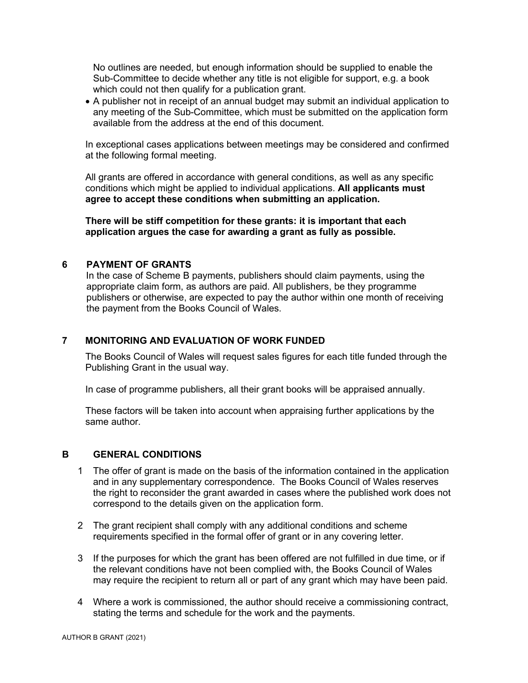No outlines are needed, but enough information should be supplied to enable the Sub-Committee to decide whether any title is not eligible for support, e.g. a book which could not then qualify for a publication grant.

• A publisher not in receipt of an annual budget may submit an individual application to any meeting of the Sub-Committee, which must be submitted on the application form available from the address at the end of this document.

In exceptional cases applications between meetings may be considered and confirmed at the following formal meeting.

All grants are offered in accordance with general conditions, as well as any specific conditions which might be applied to individual applications. **All applicants must agree to accept these conditions when submitting an application.** 

**There will be stiff competition for these grants: it is important that each application argues the case for awarding a grant as fully as possible.**

#### **6 PAYMENT OF GRANTS**

In the case of Scheme B payments, publishers should claim payments, using the appropriate claim form, as authors are paid. All publishers, be they programme publishers or otherwise, are expected to pay the author within one month of receiving the payment from the Books Council of Wales.

#### **7 MONITORING AND EVALUATION OF WORK FUNDED**

The Books Council of Wales will request sales figures for each title funded through the Publishing Grant in the usual way.

In case of programme publishers, all their grant books will be appraised annually.

These factors will be taken into account when appraising further applications by the same author.

#### **B GENERAL CONDITIONS**

- 1 The offer of grant is made on the basis of the information contained in the application and in any supplementary correspondence. The Books Council of Wales reserves the right to reconsider the grant awarded in cases where the published work does not correspond to the details given on the application form.
- 2 The grant recipient shall comply with any additional conditions and scheme requirements specified in the formal offer of grant or in any covering letter.
- 3 If the purposes for which the grant has been offered are not fulfilled in due time, or if the relevant conditions have not been complied with, the Books Council of Wales may require the recipient to return all or part of any grant which may have been paid.
- 4 Where a work is commissioned, the author should receive a commissioning contract, stating the terms and schedule for the work and the payments.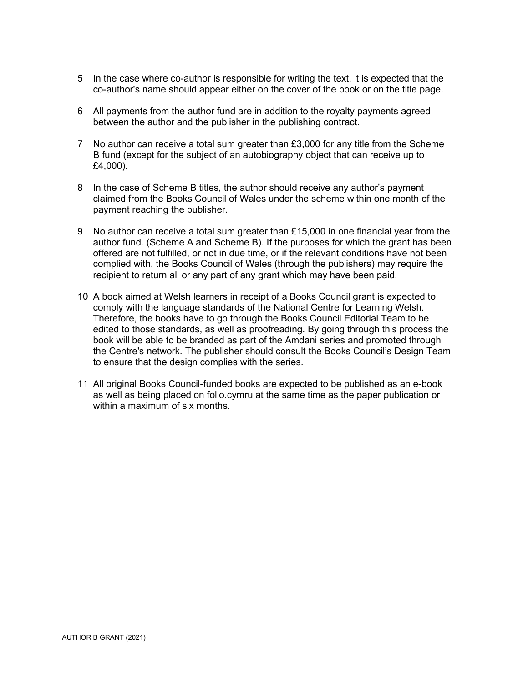- 5 In the case where co-author is responsible for writing the text, it is expected that the co-author's name should appear either on the cover of the book or on the title page.
- 6 All payments from the author fund are in addition to the royalty payments agreed between the author and the publisher in the publishing contract.
- 7 No author can receive a total sum greater than £3,000 for any title from the Scheme B fund (except for the subject of an autobiography object that can receive up to £4,000).
- 8 In the case of Scheme B titles, the author should receive any author's payment claimed from the Books Council of Wales under the scheme within one month of the payment reaching the publisher.
- 9 No author can receive a total sum greater than £15,000 in one financial year from the author fund. (Scheme A and Scheme B). If the purposes for which the grant has been offered are not fulfilled, or not in due time, or if the relevant conditions have not been complied with, the Books Council of Wales (through the publishers) may require the recipient to return all or any part of any grant which may have been paid.
- 10 A book aimed at Welsh learners in receipt of a Books Council grant is expected to comply with the language standards of the National Centre for Learning Welsh. Therefore, the books have to go through the Books Council Editorial Team to be edited to those standards, as well as proofreading. By going through this process the book will be able to be branded as part of the Amdani series and promoted through the Centre's network. The publisher should consult the Books Council's Design Team to ensure that the design complies with the series.
- 11 All original Books Council-funded books are expected to be published as an e-book as well as being placed on folio.cymru at the same time as the paper publication or within a maximum of six months.